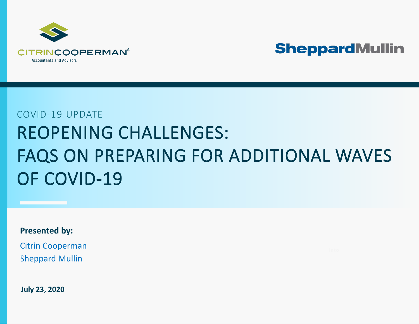

# COVID-19 UPDATE REOPENING CHALLENGES: FAQS ON PREPARING FOR ADDITIONAL WAVES OF COVID-19

**Presented by:**

[Citrin Cooperman](http://www.citrincooperman.com/) [Sheppard Mullin](https://www.sheppardmullin.com/)

**July 23, 2020**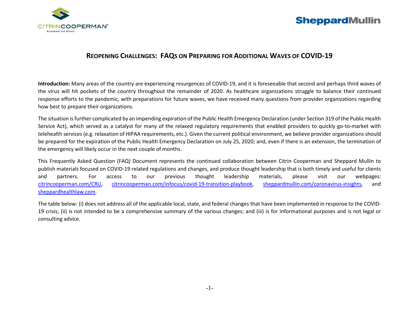

#### **REOPENING CHALLENGES: FAQS ON PREPARING FOR ADDITIONAL WAVES OF COVID-19**

**Introduction:** Many areas of the country are experiencing resurgences of COVID-19, and it is foreseeable that second and perhaps third waves of the virus will hit pockets of the country throughout the remainder of 2020. As healthcare organizations struggle to balance their continued response efforts to the pandemic, with preparations for future waves, we have received many questions from provider organizations regarding how best to prepare their organizations.

The situation is further complicated by an impending expiration of the Public Health Emergency Declaration (under Section 319 of the Public Health Service Act), which served as a catalyst for many of the relaxed regulatory requirements that enabled providers to quickly go-to-market with telehealth services (e.g. relaxation of HIPAA requirements, etc.). Given the current political environment, we believe provider organizations should be prepared for the expiration of the Public Health Emergency Declaration on July 25, 2020; and, even if there is an extension, the termination of the emergency will likely occur in the next couple of months.

This Frequently Asked Question (FAQ) Document represents the continued collaboration between Citrin Cooperman and Sheppard Mullin to publish materials focused on COVID-19 related regulations and changes, and produce thought leadership that is both timely and useful for clients and partners. For access to our previous thought leadership materials, please visit our webpages: citrincooperman.com/CRU, [citrincooperman.com/infocus/covid-19-transition-playbook,](https://www.citrincooperman.com/infocus/covid-19-transition-playbook) [sheppardmullin.com/coronavirus-insights,](https://www.sheppardmullin.com/coronavirus-insights) and [sheppardhealthlaw.com.](https://www.sheppardhealthlaw.com/)

The table below: (i) does not address all of the applicable local, state, and federal changes that have been implemented in response to the COVID-19 crisis; (ii) is not intended to be a comprehensive summary of the various changes; and (iii) is for informational purposes and is not legal or consulting advice.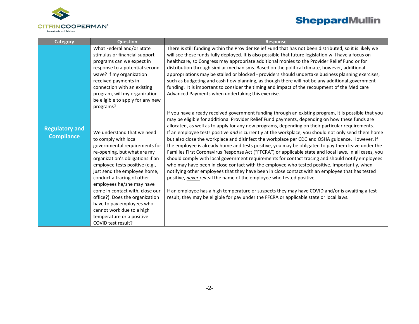

| <b>Category</b>                            | Question                                                                                                                                                                                                                                                                                                                                                                                                                                                                                                                                                 | <b>Response</b>                                                                                                                                                                                                                                                                                                                                                                                                                                                                                                                                                                                                                                                                                                                                                                                                                                                                                                                                                                                                                                                                                                                                                                                                                                                                                                                                                                                                                                                                                                                                                                                                                                                                                                                                                                                                                                                                                       |
|--------------------------------------------|----------------------------------------------------------------------------------------------------------------------------------------------------------------------------------------------------------------------------------------------------------------------------------------------------------------------------------------------------------------------------------------------------------------------------------------------------------------------------------------------------------------------------------------------------------|-------------------------------------------------------------------------------------------------------------------------------------------------------------------------------------------------------------------------------------------------------------------------------------------------------------------------------------------------------------------------------------------------------------------------------------------------------------------------------------------------------------------------------------------------------------------------------------------------------------------------------------------------------------------------------------------------------------------------------------------------------------------------------------------------------------------------------------------------------------------------------------------------------------------------------------------------------------------------------------------------------------------------------------------------------------------------------------------------------------------------------------------------------------------------------------------------------------------------------------------------------------------------------------------------------------------------------------------------------------------------------------------------------------------------------------------------------------------------------------------------------------------------------------------------------------------------------------------------------------------------------------------------------------------------------------------------------------------------------------------------------------------------------------------------------------------------------------------------------------------------------------------------------|
| <b>Regulatory and</b><br><b>Compliance</b> | What Federal and/or State<br>stimulus or financial support<br>programs can we expect in<br>response to a potential second<br>wave? If my organization<br>received payments in<br>connection with an existing<br>program, will my organization<br>be eligible to apply for any new<br>programs?<br>We understand that we need<br>to comply with local<br>governmental requirements for<br>re-opening, but what are my<br>organization's obligations if an<br>employee tests positive (e.g.,<br>just send the employee home,<br>conduct a tracing of other | There is still funding within the Provider Relief Fund that has not been distributed, so it is likely we<br>will see these funds fully deployed. It is also possible that future legislation will have a focus on<br>healthcare, so Congress may appropriate additional monies to the Provider Relief Fund or for<br>distribution through similar mechanisms. Based on the political climate, however, additional<br>appropriations may be stalled or blocked - providers should undertake business planning exercises,<br>such as budgeting and cash flow planning, as though there will not be any additional government<br>funding. It is important to consider the timing and impact of the recoupment of the Medicare<br>Advanced Payments when undertaking this exercise.<br>If you have already received government funding through an existing program, it is possible that you<br>may be eligible for additional Provider Relief Fund payments, depending on how these funds are<br>allocated, as well as to apply for any new programs, depending on their particular requirements.<br>If an employee tests positive and is currently at the workplace, you should not only send them home<br>but also close the workplace and disinfect the workplace per CDC and OSHA guidance. However, if<br>the employee is already home and tests positive, you may be obligated to pay them leave under the<br>Families First Coronavirus Response Act ("FFCRA") or applicable state and local laws. In all cases, you<br>should comply with local government requirements for contact tracing and should notify employees<br>who may have been in close contact with the employee who tested positive. Importantly, when<br>notifying other employees that they have been in close contact with an employee that has tested<br>positive, never reveal the name of the employee who tested positive. |
|                                            | employees he/she may have<br>come in contact with, close our<br>office?). Does the organization<br>have to pay employees who<br>cannot work due to a high<br>temperature or a positive<br>COVID test result?                                                                                                                                                                                                                                                                                                                                             | If an employee has a high temperature or suspects they may have COVID and/or is awaiting a test<br>result, they may be eligible for pay under the FFCRA or applicable state or local laws.                                                                                                                                                                                                                                                                                                                                                                                                                                                                                                                                                                                                                                                                                                                                                                                                                                                                                                                                                                                                                                                                                                                                                                                                                                                                                                                                                                                                                                                                                                                                                                                                                                                                                                            |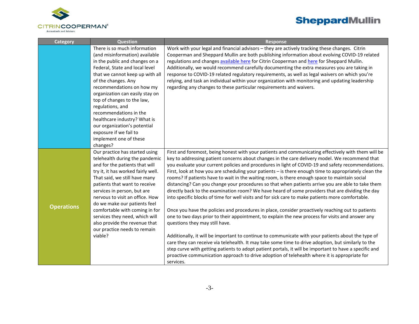

| <b>Category</b>   | <b>Question</b>                    | <b>Response</b>                                                                                        |
|-------------------|------------------------------------|--------------------------------------------------------------------------------------------------------|
|                   | There is so much information       | Work with your legal and financial advisors - they are actively tracking these changes. Citrin         |
|                   | (and misinformation) available     | Cooperman and Sheppard Mullin are both publishing information about evolving COVID-19 related          |
|                   | in the public and changes on a     | regulations and changes available here for Citrin Cooperman and here for Sheppard Mullin.              |
|                   | Federal, State and local level     | Additionally, we would recommend carefully documenting the extra measures you are taking in            |
|                   | that we cannot keep up with all    | response to COVID-19 related regulatory requirements, as well as legal waivers on which you're         |
|                   | of the changes. Any                | relying, and task an individual within your organization with monitoring and updating leadership       |
|                   | recommendations on how my          | regarding any changes to these particular requirements and waivers.                                    |
|                   | organization can easily stay on    |                                                                                                        |
|                   | top of changes to the law,         |                                                                                                        |
|                   | regulations, and                   |                                                                                                        |
|                   | recommendations in the             |                                                                                                        |
|                   | healthcare industry? What is       |                                                                                                        |
|                   | our organization's potential       |                                                                                                        |
|                   | exposure if we fail to             |                                                                                                        |
|                   | implement one of these             |                                                                                                        |
|                   | changes?                           |                                                                                                        |
|                   | Our practice has started using     | First and foremost, being honest with your patients and communicating effectively with them will be    |
|                   | telehealth during the pandemic     | key to addressing patient concerns about changes in the care delivery model. We recommend that         |
|                   | and for the patients that will     | you evaluate your current policies and procedures in light of COVID-19 and safety recommendations.     |
|                   | try it, it has worked fairly well. | First, look at how you are scheduling your patients - is there enough time to appropriately clean the  |
|                   | That said, we still have many      | rooms? If patients have to wait in the waiting room, is there enough space to maintain social          |
|                   | patients that want to receive      | distancing? Can you change your procedures so that when patients arrive you are able to take them      |
|                   | services in person, but are        | directly back to the examination room? We have heard of some providers that are dividing the day       |
|                   | nervous to visit an office. How    | into specific blocks of time for well visits and for sick care to make patients more comfortable.      |
| <b>Operations</b> | do we make our patients feel       |                                                                                                        |
|                   | comfortable with coming in for     | Once you have the policies and procedures in place, consider proactively reaching out to patients      |
|                   | services they need, which will     | one to two days prior to their appointment, to explain the new process for visits and answer any       |
|                   | also provide the revenue that      | questions they may still have.                                                                         |
|                   | our practice needs to remain       |                                                                                                        |
|                   | viable?                            | Additionally, it will be important to continue to communicate with your patients about the type of     |
|                   |                                    | care they can receive via telehealth. It may take some time to drive adoption, but similarly to the    |
|                   |                                    | step curve with getting patients to adopt patient portals, it will be important to have a specific and |
|                   |                                    | proactive communication approach to drive adoption of telehealth where it is appropriate for           |
|                   |                                    | services.                                                                                              |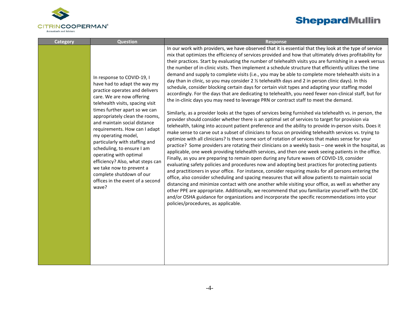

| Category | <b>Question</b>                                                                                                                                                                                                                                                                                                                                                                                                                                                                                                                                             | <b>Response</b>                                                                                                                                                                                                                                                                                                                                                                                                                                                                                                                                                                                                                                                                                                                                                                                                                                                                                                                                                                                                                                                                                                                                                                                                                                                                                                                                                                                                                                                                                                                                                                                                                                                                                                                                                                                                                                                                                                                                                                                                                                                                                                                                                                                                                                                                                                                                                                                                                                                                                    |
|----------|-------------------------------------------------------------------------------------------------------------------------------------------------------------------------------------------------------------------------------------------------------------------------------------------------------------------------------------------------------------------------------------------------------------------------------------------------------------------------------------------------------------------------------------------------------------|----------------------------------------------------------------------------------------------------------------------------------------------------------------------------------------------------------------------------------------------------------------------------------------------------------------------------------------------------------------------------------------------------------------------------------------------------------------------------------------------------------------------------------------------------------------------------------------------------------------------------------------------------------------------------------------------------------------------------------------------------------------------------------------------------------------------------------------------------------------------------------------------------------------------------------------------------------------------------------------------------------------------------------------------------------------------------------------------------------------------------------------------------------------------------------------------------------------------------------------------------------------------------------------------------------------------------------------------------------------------------------------------------------------------------------------------------------------------------------------------------------------------------------------------------------------------------------------------------------------------------------------------------------------------------------------------------------------------------------------------------------------------------------------------------------------------------------------------------------------------------------------------------------------------------------------------------------------------------------------------------------------------------------------------------------------------------------------------------------------------------------------------------------------------------------------------------------------------------------------------------------------------------------------------------------------------------------------------------------------------------------------------------------------------------------------------------------------------------------------------------|
|          | In response to COVID-19, I<br>have had to adapt the way my<br>practice operates and delivers<br>care. We are now offering<br>telehealth visits, spacing visit<br>times further apart so we can<br>appropriately clean the rooms,<br>and maintain social distance<br>requirements. How can I adapt<br>my operating model,<br>particularly with staffing and<br>scheduling, to ensure I am<br>operating with optimal<br>efficiency? Also, what steps can<br>we take now to prevent a<br>complete shutdown of our<br>offices in the event of a second<br>wave? | In our work with providers, we have observed that it is essential that they look at the type of service<br>mix that optimizes the efficiency of services provided and how that ultimately drives profitability for<br>their practices. Start by evaluating the number of telehealth visits you are furnishing in a week versus<br>the number of in-clinic visits. Then implement a schedule structure that efficiently utilizes the time<br>demand and supply to complete visits (i.e., you may be able to complete more telehealth visits in a<br>day than in clinic, so you may consider 2 1/2 telehealth days and 2 in person clinic days). In this<br>schedule, consider blocking certain days for certain visit types and adapting your staffing model<br>accordingly. For the days that are dedicating to telehealth, you need fewer non-clinical staff, but for<br>the in-clinic days you may need to leverage PRN or contract staff to meet the demand.<br>Similarly, as a provider looks at the types of services being furnished via telehealth vs. in person, the<br>provider should consider whether there is an optimal set of services to target for provision via<br>telehealth, taking into account patient preference and the ability to provide in-person visits. Does it<br>make sense to carve out a subset of clinicians to focus on providing telehealth services vs. trying to<br>optimize with all clinicians? Is there some sort of rotation of services that makes sense for your<br>practice? Some providers are rotating their clinicians on a weekly basis - one week in the hospital, as<br>applicable, one week providing telehealth services, and then one week seeing patients in the office.<br>Finally, as you are preparing to remain open during any future waves of COVID-19, consider<br>evaluating safety policies and procedures now and adopting best practices for protecting patients<br>and practitioners in your office. For instance, consider requiring masks for all persons entering the<br>office, also consider scheduling and spacing measures that will allow patients to maintain social<br>distancing and minimize contact with one another while visiting your office, as well as whether any<br>other PPE are appropriate. Additionally, we recommend that you familiarize yourself with the CDC<br>and/or OSHA guidance for organizations and incorporate the specific recommendations into your<br>policies/procedures, as applicable. |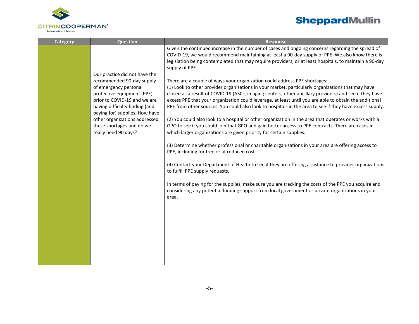

| <b>Category</b> | <b>Question</b>                                                                                  | <b>Response</b>                                                                                                                                                                                                                                                                                                                 |
|-----------------|--------------------------------------------------------------------------------------------------|---------------------------------------------------------------------------------------------------------------------------------------------------------------------------------------------------------------------------------------------------------------------------------------------------------------------------------|
|                 | Our practice did not have the                                                                    | Given the continued increase in the number of cases and ongoing concerns regarding the spread of<br>COVID-19, we would recommend maintaining at least a 90-day supply of PPE. We also know there is<br>legislation being contemplated that may require providers, or at least hospitals, to maintain a 90-day<br>supply of PPE. |
|                 | recommended 90-day supply<br>of emergency personal                                               | There are a couple of ways your organization could address PPE shortages:<br>(1) Look to other provider organizations in your market, particularly organizations that may have                                                                                                                                                  |
|                 | protective equipment (PPE)                                                                       | closed as a result of COVID-19 (ASCs, imaging centers, other ancillary providers) and see if they have                                                                                                                                                                                                                          |
|                 | prior to COVID-19 and we are<br>having difficulty finding (and<br>paying for) supplies. How have | excess PPE that your organization could leverage, at least until you are able to obtain the additional<br>PPE from other sources. You could also look to hospitals in the area to see if they have excess supply.                                                                                                               |
|                 | other organizations addressed<br>these shortages and do we<br>really need 90 days?               | (2) You could also look to a hospital or other organization in the area that operates or works with a<br>GPO to see if you could join that GPO and gain better access to PPE contracts. There are cases in<br>which larger organizations are given priority for certain supplies.                                               |
|                 |                                                                                                  | (3) Determine whether professional or charitable organizations in your area are offering access to<br>PPE, including for free or at reduced cost.                                                                                                                                                                               |
|                 |                                                                                                  | (4) Contact your Department of Health to see if they are offering assistance to provider organizations<br>to fulfill PPE supply requests.                                                                                                                                                                                       |
|                 |                                                                                                  | In terms of paying for the supplies, make sure you are tracking the costs of the PPE you acquire and<br>considering any potential funding support from local government or private organizations in your<br>area.                                                                                                               |
|                 |                                                                                                  |                                                                                                                                                                                                                                                                                                                                 |
|                 |                                                                                                  |                                                                                                                                                                                                                                                                                                                                 |
|                 |                                                                                                  |                                                                                                                                                                                                                                                                                                                                 |
|                 |                                                                                                  |                                                                                                                                                                                                                                                                                                                                 |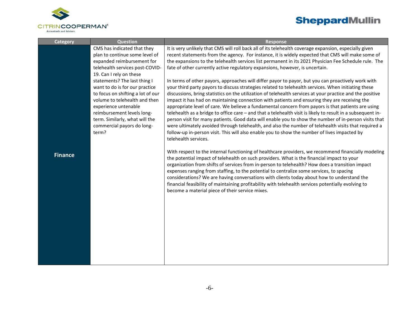

| <b>Category</b> | <b>Question</b>                                                                                                                                                                                                                                                     | <b>Response</b>                                                                                                                                                                                                                                                                                                                                                                                                                                                                                                                                                                                                                                                                                                                                                                                                                                                                                                                                                                       |
|-----------------|---------------------------------------------------------------------------------------------------------------------------------------------------------------------------------------------------------------------------------------------------------------------|---------------------------------------------------------------------------------------------------------------------------------------------------------------------------------------------------------------------------------------------------------------------------------------------------------------------------------------------------------------------------------------------------------------------------------------------------------------------------------------------------------------------------------------------------------------------------------------------------------------------------------------------------------------------------------------------------------------------------------------------------------------------------------------------------------------------------------------------------------------------------------------------------------------------------------------------------------------------------------------|
|                 | CMS has indicated that they<br>plan to continue some level of<br>expanded reimbursement for<br>telehealth services post-COVID-<br>19. Can I rely on these                                                                                                           | It is very unlikely that CMS will roll back all of its telehealth coverage expansion, especially given<br>recent statements from the agency. For instance, it is widely expected that CMS will make some of<br>the expansions to the telehealth services list permanent in its 2021 Physician Fee Schedule rule. The<br>fate of other currently active regulatory expansions, however, is uncertain.                                                                                                                                                                                                                                                                                                                                                                                                                                                                                                                                                                                  |
|                 | statements? The last thing I<br>want to do is for our practice<br>to focus on shifting a lot of our<br>volume to telehealth and then<br>experience untenable<br>reimbursement levels long-<br>term. Similarly, what will the<br>commercial payors do long-<br>term? | In terms of other payors, approaches will differ payor to payor, but you can proactively work with<br>your third party payors to discuss strategies related to telehealth services. When initiating these<br>discussions, bring statistics on the utilization of telehealth services at your practice and the positive<br>impact it has had on maintaining connection with patients and ensuring they are receiving the<br>appropriate level of care. We believe a fundamental concern from payors is that patients are using<br>telehealth as a bridge to office care - and that a telehealth visit is likely to result in a subsequent in-<br>person visit for many patients. Good data will enable you to show the number of in-person visits that<br>were ultimately avoided through telehealth, and also the number of telehealth visits that required a<br>follow-up in-person visit. This will also enable you to show the number of lives impacted by<br>telehealth services. |
| <b>Finance</b>  |                                                                                                                                                                                                                                                                     | With respect to the internal functioning of healthcare providers, we recommend financially modeling<br>the potential impact of telehealth on such providers. What is the financial impact to your<br>organization from shifts of services from in-person to telehealth? How does a transition impact<br>expenses ranging from staffing, to the potential to centralize some services, to spacing<br>considerations? We are having conversations with clients today about how to understand the<br>financial feasibility of maintaining profitability with telehealth services potentially evolving to<br>become a material piece of their service mixes.                                                                                                                                                                                                                                                                                                                              |
|                 |                                                                                                                                                                                                                                                                     |                                                                                                                                                                                                                                                                                                                                                                                                                                                                                                                                                                                                                                                                                                                                                                                                                                                                                                                                                                                       |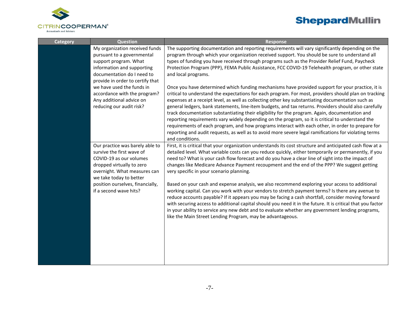

| <b>Category</b> | <b>Question</b>                                                                                                                                                                       | <b>Response</b>                                                                                                                                                                                                                                                                                                                                                                                                                                                                                                                                                                                                                                                                                                                                                                                                                                               |
|-----------------|---------------------------------------------------------------------------------------------------------------------------------------------------------------------------------------|---------------------------------------------------------------------------------------------------------------------------------------------------------------------------------------------------------------------------------------------------------------------------------------------------------------------------------------------------------------------------------------------------------------------------------------------------------------------------------------------------------------------------------------------------------------------------------------------------------------------------------------------------------------------------------------------------------------------------------------------------------------------------------------------------------------------------------------------------------------|
|                 | My organization received funds<br>pursuant to a governmental<br>support program. What<br>information and supporting<br>documentation do I need to<br>provide in order to certify that | The supporting documentation and reporting requirements will vary significantly depending on the<br>program through which your organization received support. You should be sure to understand all<br>types of funding you have received through programs such as the Provider Relief Fund, Paycheck<br>Protection Program (PPP), FEMA Public Assistance, FCC COVID-19 Telehealth program, or other state<br>and local programs.                                                                                                                                                                                                                                                                                                                                                                                                                              |
|                 | we have used the funds in<br>accordance with the program?<br>Any additional advice on<br>reducing our audit risk?                                                                     | Once you have determined which funding mechanisms have provided support for your practice, it is<br>critical to understand the expectations for each program. For most, providers should plan on tracking<br>expenses at a receipt level, as well as collecting other key substantiating documentation such as<br>general ledgers, bank statements, line-item budgets, and tax returns. Providers should also carefully<br>track documentation substantiating their eligibility for the program. Again, documentation and<br>reporting requirements vary widely depending on the program, so it is critical to understand the<br>requirements of each program, and how programs interact with each other, in order to prepare for<br>reporting and audit requests, as well as to avoid more severe legal ramifications for violating terms<br>and conditions. |
|                 | Our practice was barely able to<br>survive the first wave of<br>COVID-19 as our volumes<br>dropped virtually to zero<br>overnight. What measures can<br>we take today to better       | First, it is critical that your organization understands its cost structure and anticipated cash flow at a<br>detailed level. What variable costs can you reduce quickly, either temporarily or permanently, if you<br>need to? What is your cash flow forecast and do you have a clear line of sight into the impact of<br>changes like Medicare Advance Payment recoupment and the end of the PPP? We suggest getting<br>very specific in your scenario planning.                                                                                                                                                                                                                                                                                                                                                                                           |
|                 | position ourselves, financially,<br>if a second wave hits?                                                                                                                            | Based on your cash and expense analysis, we also recommend exploring your access to additional<br>working capital. Can you work with your vendors to stretch payment terms? Is there any avenue to<br>reduce accounts payable? If it appears you may be facing a cash shortfall, consider moving forward<br>with securing access to additional capital should you need it in the future. It is critical that you factor<br>in your ability to service any new debt and to evaluate whether any government lending programs,<br>like the Main Street Lending Program, may be advantageous.                                                                                                                                                                                                                                                                     |
|                 |                                                                                                                                                                                       |                                                                                                                                                                                                                                                                                                                                                                                                                                                                                                                                                                                                                                                                                                                                                                                                                                                               |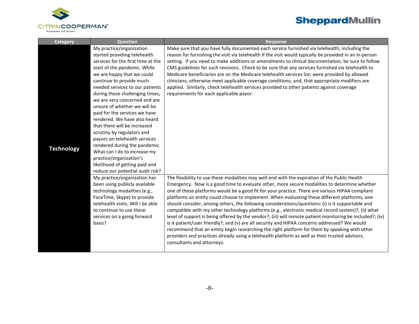

| <b>Category</b>   | Question                           | <b>Response</b>                                                                                           |
|-------------------|------------------------------------|-----------------------------------------------------------------------------------------------------------|
|                   | My practice/organization           | Make sure that you have fully documented each service furnished via telehealth, including the             |
|                   | started providing telehealth       | reason for furnishing the visit via telehealth if the visit would typically be provided in an in-person   |
|                   | services for the first time at the | setting. If you need to make additions or amendments to clinical documentation, be sure to follow         |
|                   | start of the pandemic. While       | CMS guidelines for such revisions. Check to be sure that any services furnished via telehealth to         |
|                   | we are happy that we could         | Medicare beneficiaries are on the Medicare telehealth services list; were provided by allowed             |
|                   | continue to provide much           | clinicians; otherwise meet applicable coverage conditions; and, that appropriate modifiers are            |
|                   | needed services to our patients    | applied. Similarly, check telehealth services provided to other patients against coverage                 |
|                   | during these challenging times,    | requirements for each applicable payor.                                                                   |
|                   | we are very concerned and are      |                                                                                                           |
|                   | unsure of whether we will be       |                                                                                                           |
|                   | paid for the services we have      |                                                                                                           |
|                   | rendered. We have also heard       |                                                                                                           |
|                   | that there will be increased       |                                                                                                           |
|                   | scrutiny by regulators and         |                                                                                                           |
|                   | payors on telehealth services      |                                                                                                           |
| <b>Technology</b> | rendered during the pandemic.      |                                                                                                           |
|                   | What can I do to increase my       |                                                                                                           |
|                   | practice/organization's            |                                                                                                           |
|                   | likelihood of getting paid and     |                                                                                                           |
|                   | reduce our potential audit risk?   |                                                                                                           |
|                   | My practice/organization has       | The flexibility to use these modalities may well end with the expiration of the Public Health             |
|                   | been using publicly available      | Emergency. Now is a good time to evaluate other, more secure modalities to determine whether              |
|                   | technology modalities (e.g.,       | one of these platforms would be a good fit for your practice. There are various HIPAA compliant           |
|                   | FaceTime, Skype) to provide        | platforms an entity could choose to implement. When evaluating these different platforms, one             |
|                   | telehealth visits. Will I be able  | should consider, among others, the following considerations/questions: (i) is it supportable and          |
|                   | to continue to use these           | compatible with my other technology platforms (e.g., electronic medical record system)?; (ii) what        |
|                   | services on a going forward        | level of support is being offered by the vendor?; (iii) will remote patient monitoring be included?; (iv) |
|                   | basis?                             | is it patient/user friendly?; and (v) are all security and HIPAA concerns addressed? We would             |
|                   |                                    | recommend that an entity begin researching the right platform for them by speaking with other             |
|                   |                                    | providers and practices already using a telehealth platform as well as their trusted advisors,            |
|                   |                                    | consultants and attorneys.                                                                                |
|                   |                                    |                                                                                                           |